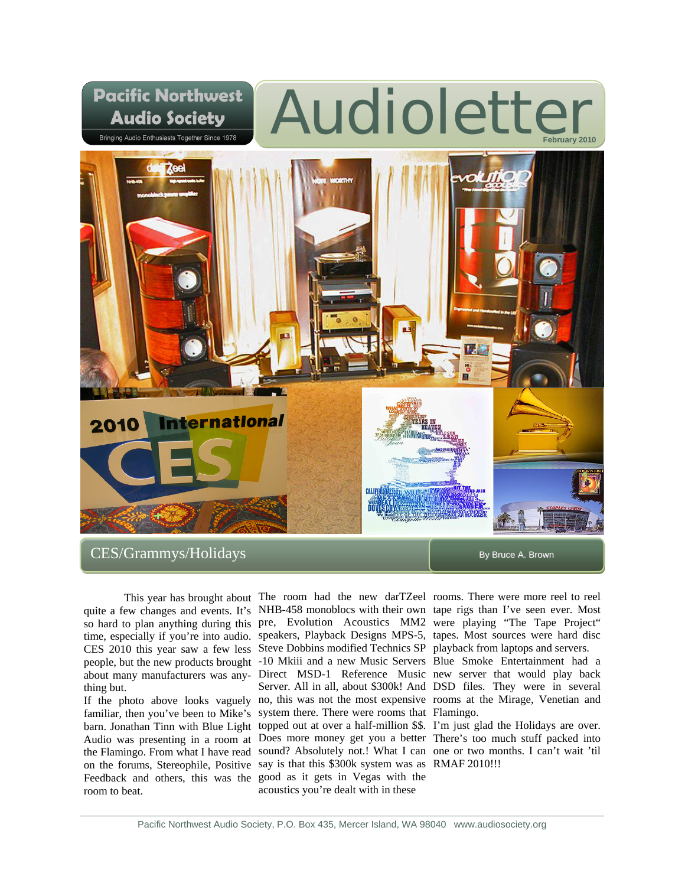

thing but.

room to beat.

This year has brought about The room had the new darTZeel rooms. There were more reel to reel quite a few changes and events. It's NHB-458 monoblocs with their own tape rigs than I've seen ever. Most so hard to plan anything during this pre, Evolution Acoustics MM2 were playing "The Tape Project" time, especially if you're into audio. speakers, Playback Designs MPS-5, tapes. Most sources were hard disc CES 2010 this year saw a few less Steve Dobbins modified Technics SP playback from laptops and servers. people, but the new products brought -10 Mkiii and a new Music Servers Blue Smoke Entertainment had a about many manufacturers was any-Direct MSD-1 Reference Music new server that would play back If the photo above looks vaguely no, this was not the most expensive rooms at the Mirage, Venetian and familiar, then you've been to Mike's system there. There were rooms that Flamingo. barn. Jonathan Tinn with Blue Light topped out at over a half-million \$\$. I'm just glad the Holidays are over. Audio was presenting in a room at Does more money get you a better There's too much stuff packed into the Flamingo. From what I have read sound? Absolutely not.! What I can one or two months. I can't wait 'til on the forums, Stereophile, Positive say is that this \$300k system was as RMAF 2010!!! Feedback and others, this was the good as it gets in Vegas with the Server. All in all, about \$300k! And DSD files. They were in several acoustics you're dealt with in these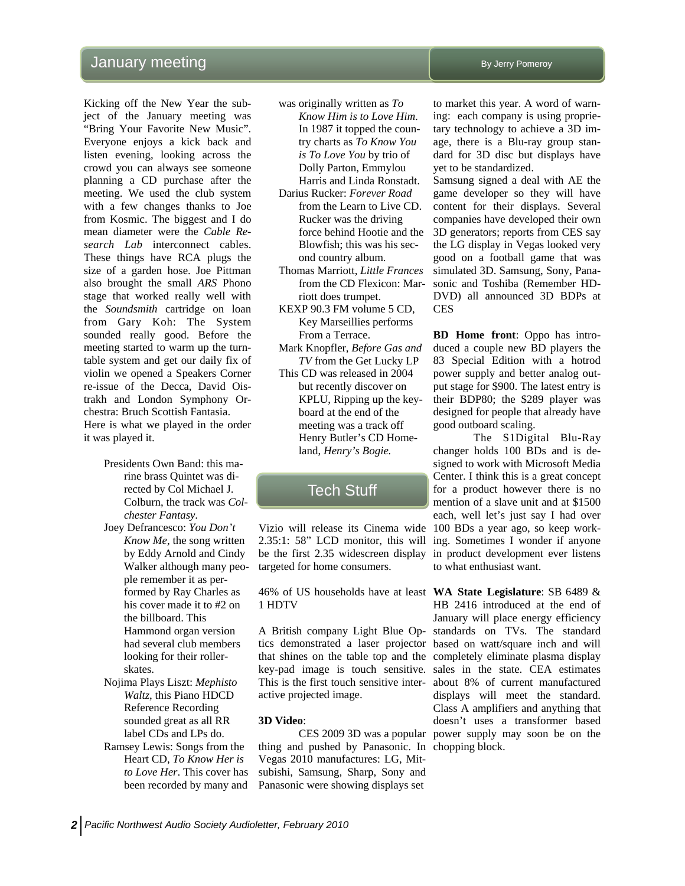## January meeting  $\blacksquare$

Kicking off the New Year the subject of the January meeting was "Bring Your Favorite New Music". Everyone enjoys a kick back and listen evening, looking across the crowd you can always see someone planning a CD purchase after the meeting. We used the club system with a few changes thanks to Joe from Kosmic. The biggest and I do mean diameter were the *Cable Research Lab* interconnect cables. These things have RCA plugs the size of a garden hose. Joe Pittman also brought the small *ARS* Phono stage that worked really well with the *Soundsmith* cartridge on loan from Gary Koh: The System sounded really good. Before the meeting started to warm up the turntable system and get our daily fix of violin we opened a Speakers Corner re-issue of the Decca, David Oistrakh and London Symphony Orchestra: Bruch Scottish Fantasia. Here is what we played in the order it was played it.

- Presidents Own Band: this marine brass Quintet was directed by Col Michael J. Colburn, the track was *Colchester Fantasy*.
- Joey Defrancesco: *You Don't Know Me*, the song written by Eddy Arnold and Cindy Walker although many people remember it as performed by Ray Charles as his cover made it to #2 on the billboard. This Hammond organ version had several club members looking for their rollerskates.
- Nojima Plays Liszt: *Mephisto Waltz*, this Piano HDCD Reference Recording sounded great as all RR label CDs and LPs do.
- Ramsey Lewis: Songs from the Heart CD, *To Know Her is to Love Her*. This cover has been recorded by many and

was originally written as *To* 

- *Know Him is to Love Him*. In 1987 it topped the country charts as *To Know You is To Love You* by trio of Dolly Parton, Emmylou Harris and Linda Ronstadt.
- Darius Rucker: *Forever Road* from the Learn to Live CD. Rucker was the driving force behind Hootie and the Blowfish; this was his second country album.
- Thomas Marriott, *Little Frances* from the CD Flexicon: Marriott does trumpet.
- KEXP 90.3 FM volume 5 CD, Key Marseillies performs From a Terrace.
- Mark Knopfler, *Before Gas and TV* from the Get Lucky LP
- This CD was released in 2004 but recently discover on KPLU, Ripping up the keyboard at the end of the meeting was a track off Henry Butler's CD Homeland, *Henry's Bogie.*

## Tech Stuff

2.35:1: 58" LCD monitor, this will ing. Sometimes I wonder if anyone be the first 2.35 widescreen display in product development ever listens targeted for home consumers.

46% of US households have at least **WA State Legislature**: SB 6489 & 1 HDTV

tics demonstrated a laser projector based on watt/square inch and will that shines on the table top and the completely eliminate plasma display key-pad image is touch sensitive. sales in the state. CEA estimates This is the first touch sensitive inter-about 8% of current manufactured active projected image.

#### **3D Video**:

thing and pushed by Panasonic. In chopping block. Vegas 2010 manufactures: LG, Mitsubishi, Samsung, Sharp, Sony and Panasonic were showing displays set

to market this year. A word of warning: each company is using proprietary technology to achieve a 3D image, there is a Blu-ray group standard for 3D disc but displays have yet to be standardized.

Samsung signed a deal with AE the game developer so they will have content for their displays. Several companies have developed their own 3D generators; reports from CES say the LG display in Vegas looked very good on a football game that was simulated 3D. Samsung, Sony, Panasonic and Toshiba (Remember HD-DVD) all announced 3D BDPs at CES

**BD Home front**: Oppo has introduced a couple new BD players the 83 Special Edition with a hotrod power supply and better analog output stage for \$900. The latest entry is their BDP80; the \$289 player was designed for people that already have good outboard scaling.

Vizio will release its Cinema wide 100 BDs a year ago, so keep work- The S1Digital Blu-Ray changer holds 100 BDs and is designed to work with Microsoft Media Center. I think this is a great concept for a product however there is no mention of a slave unit and at \$1500 each, well let's just say I had over to what enthusiast want.

A British company Light Blue Op-standards on TVs. The standard CES 2009 3D was a popular power supply may soon be on the HB 2416 introduced at the end of January will place energy efficiency displays will meet the standard. Class A amplifiers and anything that doesn't uses a transformer based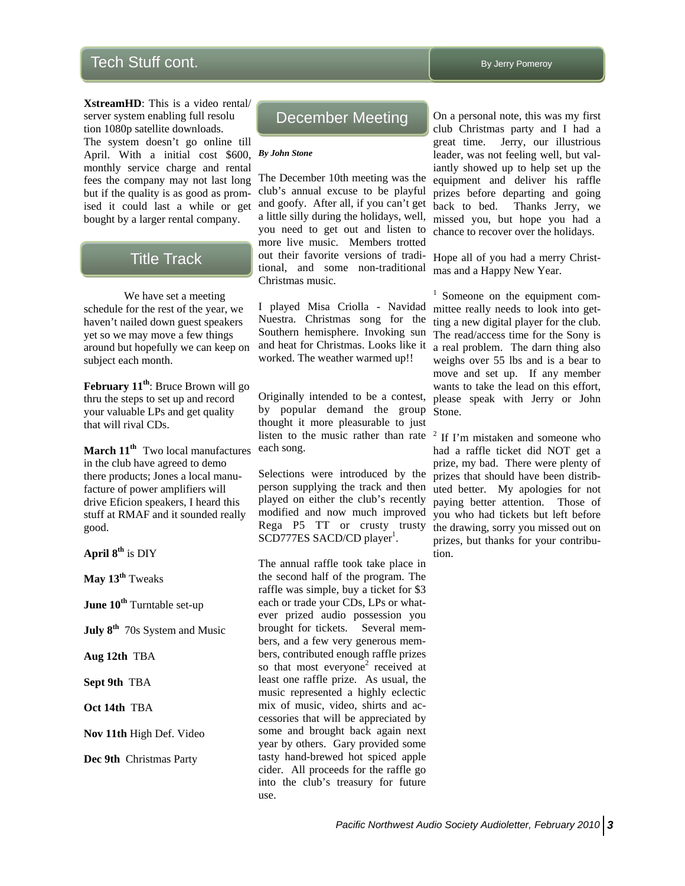# Tech Stuff cont. The stuff control of the study of the study of the study of the study of the study of the study of the study of the study of the study of the study of the study of the study of the study of the study of th

**XstreamHD**: This is a video rental/ server system enabling full resolu tion 1080p satellite downloads. The system doesn't go online till April. With a initial cost \$600, *By John Stone*  monthly service charge and rental fees the company may not last long but if the quality is as good as promised it could last a while or get bought by a larger rental company.

## **Title Track**

We have set a meeting schedule for the rest of the year, we haven't nailed down guest speakers yet so we may move a few things around but hopefully we can keep on subject each month.

**February 11th**: Bruce Brown will go thru the steps to set up and record your valuable LPs and get quality that will rival CDs.

**March 11th** Two local manufactures in the club have agreed to demo there products; Jones a local manufacture of power amplifiers will drive Eficion speakers, I heard this stuff at RMAF and it sounded really good.

**April 8th** is DIY

**May 13th** Tweaks

**June 10th** Turntable set-up

**July 8th** 70s System and Music

**Aug 12th** TBA

**Sept 9th** TBA

**Oct 14th** TBA

**Nov 11th** High Def. Video

**Dec 9th** Christmas Party

## December Meeting

The December 10th meeting was the club's annual excuse to be playful and goofy. After all, if you can't get back to bed. a little silly during the holidays, well, you need to get out and listen to more live music. Members trotted out their favorite versions of traditional, and some non-traditional Christmas music.

I played Misa Criolla - Navidad Nuestra. Christmas song for the Southern hemisphere. Invoking sun and heat for Christmas. Looks like it  $\alpha$  real problem. The darn thing also worked. The weather warmed up!!

Originally intended to be a contest, by popular demand the group thought it more pleasurable to just listen to the music rather than rate  $2 \text{ If } \Gamma \text{'m m}$  is taken and someone who each song.

Selections were introduced by the person supplying the track and then played on either the club's recently modified and now much improved Rega P5 TT or crusty trusty SCD777ES SACD/CD player<sup>1</sup>.

The annual raffle took take place in the second half of the program. The raffle was simple, buy a ticket for \$3 each or trade your CDs, LPs or whatever prized audio possession you brought for tickets. Several members, and a few very generous members, contributed enough raffle prizes so that most everyone<sup>2</sup> received at least one raffle prize. As usual, the music represented a highly eclectic mix of music, video, shirts and accessories that will be appreciated by some and brought back again next year by others. Gary provided some tasty hand-brewed hot spiced apple cider. All proceeds for the raffle go into the club's treasury for future use.

On a personal note, this was my first club Christmas party and I had a great time. Jerry, our illustrious leader, was not feeling well, but valiantly showed up to help set up the equipment and deliver his raffle prizes before departing and going Thanks Jerry, we missed you, but hope you had a chance to recover over the holidays.

Hope all of you had a merry Christmas and a Happy New Year.

<sup>1</sup> Someone on the equipment committee really needs to look into getting a new digital player for the club. The read/access time for the Sony is weighs over 55 lbs and is a bear to move and set up. If any member wants to take the lead on this effort, please speak with Jerry or John Stone.

had a raffle ticket did NOT get a prize, my bad. There were plenty of prizes that should have been distributed better. My apologies for not paying better attention. Those of you who had tickets but left before the drawing, sorry you missed out on prizes, but thanks for your contribution.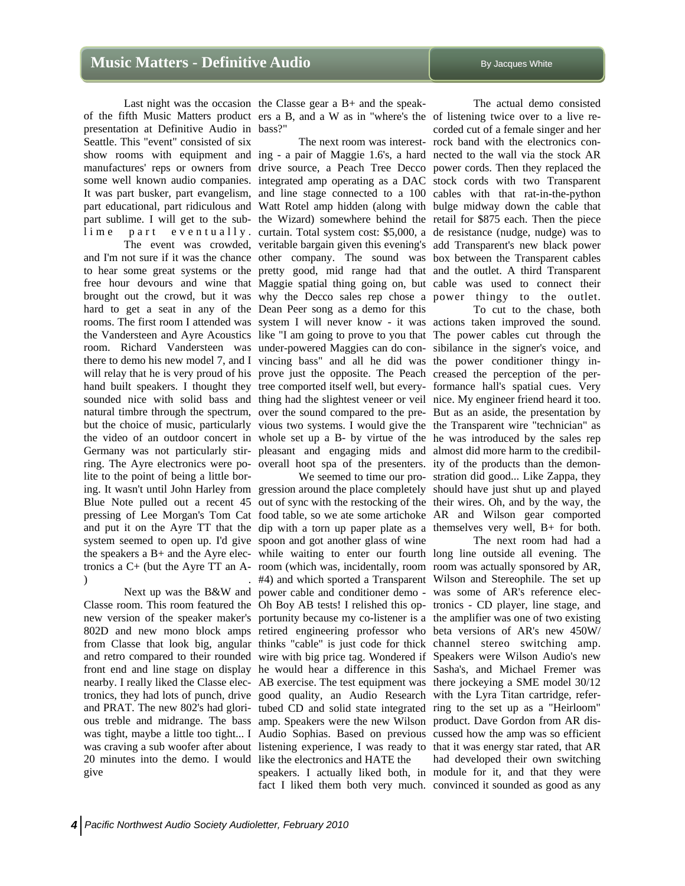presentation at Definitive Audio in bass?" Seattle. This "event" consisted of six

hard to get a seat in any of the Dean Peer song as a demo for this lite to the point of being a little borsystem seemed to open up. I'd give spoon and got another glass of wine ) and the contract of  $\mathbf{r}$  .

20 minutes into the demo. I would like the electronics and HATE the give

Last night was the occasion the Classe gear a B+ and the speakof the fifth Music Matters product ers a B, and a W as in "where's the of listening twice over to a live re-

show rooms with equipment and ing - a pair of Maggie 1.6's, a hard nected to the wall via the stock AR manufactures' reps or owners from drive source, a Peach Tree Decco power cords. Then they replaced the some well known audio companies. integrated amp operating as a DAC stock cords with two Transparent It was part busker, part evangelism, and line stage connected to a 100 cables with that rat-in-the-python part educational, part ridiculous and Watt Rotel amp hidden (along with bulge midway down the cable that part sublime. I will get to the sub-the Wizard) somewhere behind the retail for \$875 each. Then the piece lime part eventually. curtain. Total system cost: \$5,000, a de resistance (nudge, nudge) was to The event was crowded, veritable bargain given this evening's add Transparent's new black power and I'm not sure if it was the chance other company. The sound was box between the Transparent cables to hear some great systems or the pretty good, mid range had that and the outlet. A third Transparent free hour devours and wine that Maggie spatial thing going on, but cable was used to connect their brought out the crowd, but it was why the Decco sales rep chose a power thingy to the outlet. rooms. The first room I attended was system I will never know - it was actions taken improved the sound. the Vandersteen and Ayre Acoustics like "I am going to prove to you that The power cables cut through the room. Richard Vandersteen was under-powered Maggies can do con-sibilance in the signer's voice, and there to demo his new model 7, and I vincing bass" and all he did was the power conditioner thingy inwill relay that he is very proud of his prove just the opposite. The Peach creased the perception of the perhand built speakers. I thought they tree comported itself well, but every- formance hall's spatial cues. Very sounded nice with solid bass and thing had the slightest veneer or veil nice. My engineer friend heard it too. natural timbre through the spectrum, over the sound compared to the pre-But as an aside, the presentation by but the choice of music, particularly vious two systems. I would give the the Transparent wire "technician" as the video of an outdoor concert in whole set up a B- by virtue of the he was introduced by the sales rep Germany was not particularly stir-pleasant and engaging mids and almost did more harm to the credibilring. The Ayre electronics were po- overall hoot spa of the presenters. ity of the products than the demon-The next room was interest- rock band with the electronics con-

ing. It wasn't until John Harley from gression around the place completely should have just shut up and played Blue Note pulled out a recent 45 out of sync with the restocking of the their wires. Oh, and by the way, the pressing of Lee Morgan's Tom Cat food table, so we ate some artichoke AR and Wilson gear comported and put it on the Ayre TT that the dip with a torn up paper plate as a themselves very well,  $B+$  for both. the speakers a B+ and the Ayre elec-while waiting to enter our fourth long line outside all evening. The tronics a C+ (but the Ayre TT an A- room (which was, incidentally, room room was actually sponsored by AR, Next up was the B&W and power cable and conditioner demo - was some of AR's reference elec-Classe room. This room featured the Oh Boy AB tests! I relished this op-tronics - CD player, line stage, and new version of the speaker maker's portunity because my co-listener is a the amplifier was one of two existing 802D and new mono block amps retired engineering professor who beta versions of AR's new 450W/ from Classe that look big, angular thinks "cable" is just code for thick channel stereo switching amp. and retro compared to their rounded wire with big price tag. Wondered if Speakers were Wilson Audio's new front end and line stage on display he would hear a difference in this Sasha's, and Michael Fremer was nearby. I really liked the Classe elec-AB exercise. The test equipment was there jockeying a SME model 30/12 tronics, they had lots of punch, drive good quality, an Audio Research with the Lyra Titan cartridge, referand PRAT. The new 802's had glori- tubed CD and solid state integrated ring to the set up as a "Heirloom" ous treble and midrange. The bass amp. Speakers were the new Wilson product. Dave Gordon from AR diswas tight, maybe a little too tight... I Audio Sophias. Based on previous cussed how the amp was so efficient was craving a sub woofer after about listening experience, I was ready to that it was energy star rated, that AR #4) and which sported a Transparent Wilson and Stereophile. The set up

fact I liked them both very much. convinced it sounded as good as any

 The actual demo consisted corded cut of a female singer and her

 We seemed to time our pro-stration did good... Like Zappa, they To cut to the chase, both

speakers. I actually liked both, in module for it, and that they were The next room had had a had developed their own switching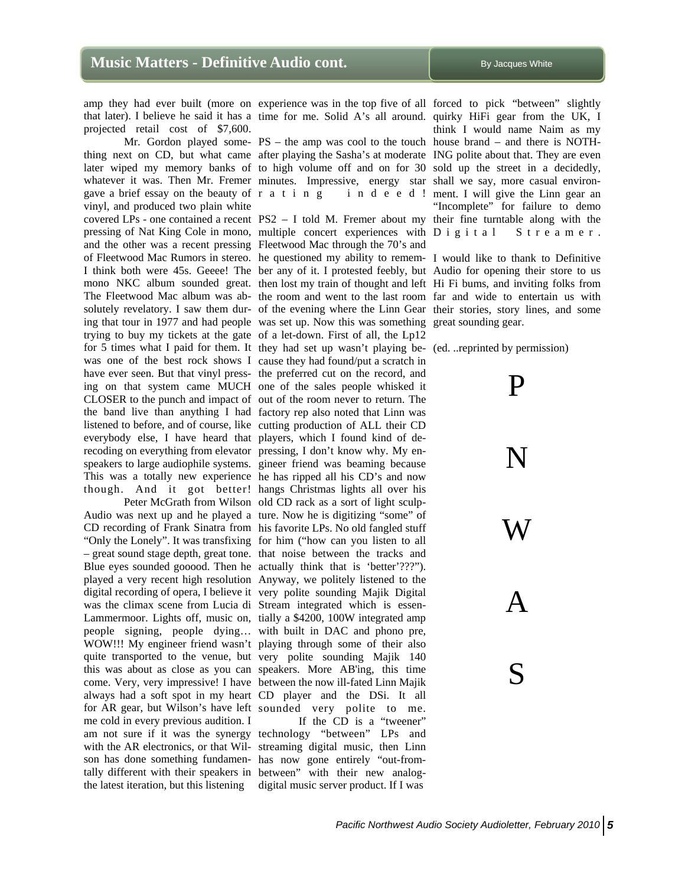projected retail cost of \$7,600.

gave a brief essay on the beauty of r a t i n g vinyl, and produced two plain white covered LPs - one contained a recent  $PS2 - I$  told M. Fremer about my their fine turntable along with the everybody else, I have heard that players, which I found kind of derecoding on everything from elevator pressing, I don't know why. My en-

was the climax scene from Lucia di Stream integrated which is essenme cold in every previous audition. I am not sure if it was the synergy technology "between" LPs and with the AR electronics, or that Wil-streaming digital music, then Linn son has done something fundamen-has now gone entirely "out-fromtally different with their speakers in between" with their new analog-

that later). I believe he said it has a time for me. Solid A's all around. quirky HiFi gear from the UK, I

thing next on CD, but what came after playing the Sasha's at moderate ING polite about that. They are even later wiped my memory banks of to high volume off and on for 30 sold up the street in a decidedly, whatever it was. Then Mr. Fremer minutes. Impressive, energy star shall we say, more casual environr a t i n g i n d e e d ! ment. I will give the Linn gear an

pressing of Nat King Cole in mono, multiple concert experiences with and the other was a recent pressing Fleetwood Mac through the 70's and of Fleetwood Mac Rumors in stereo. he questioned my ability to remem-I would like to thank to Definitive I think both were 45s. Geeee! The ber any of it. I protested feebly, but Audio for opening their store to us mono NKC album sounded great. then lost my train of thought and left Hi Fi bums, and inviting folks from The Fleetwood Mac album was ab-the room and went to the last room far and wide to entertain us with solutely revelatory. I saw them dur- of the evening where the Linn Gear their stories, story lines, and some ing that tour in 1977 and had people was set up. Now this was something great sounding gear. trying to buy my tickets at the gate of a let-down. First of all, the Lp12 for 5 times what I paid for them. It they had set up wasn't playing be-(ed. ..reprinted by permission) was one of the best rock shows I cause they had found/put a scratch in have ever seen. But that vinyl press-the preferred cut on the record, and ing on that system came MUCH one of the sales people whisked it CLOSER to the punch and impact of out of the room never to return. The the band live than anything I had factory rep also noted that Linn was listened to before, and of course, like cutting production of ALL their CD speakers to large audiophile systems. gineer friend was beaming because This was a totally new experience he has ripped all his CD's and now though. And it got better! hangs Christmas lights all over his Peter McGrath from Wilson old CD rack as a sort of light sculp-Audio was next up and he played a ture. Now he is digitizing "some" of CD recording of Frank Sinatra from his favorite LPs. No old fangled stuff "Only the Lonely". It was transfixing for him ("how can you listen to all – great sound stage depth, great tone. that noise between the tracks and Blue eyes sounded gooood. Then he actually think that is 'better'???"). played a very recent high resolution Anyway, we politely listened to the digital recording of opera, I believe it very polite sounding Majik Digital Lammermoor. Lights off, music on, tially a \$4200, 100W integrated amp people signing, people dying… with built in DAC and phono pre, WOW!!! My engineer friend wasn't playing through some of their also quite transported to the venue, but very polite sounding Majik 140 this was about as close as you can speakers. More AB'ing, this time come. Very, very impressive! I have between the now ill-fated Linn Majik always had a soft spot in my heart CD player and the DSi. It all for AR gear, but Wilson's have left sounded very polite to me.

the latest iteration, but this listening digital music server product. If I was If the CD is a "tweener"

amp they had ever built (more on experience was in the top five of all forced to pick "between" slightly Mr. Gordon played some-PS – the amp was cool to the touch house brand – and there is NOTHthink I would name Naim as my "Incomplete" for failure to demo S t r e a m e r .

P



S